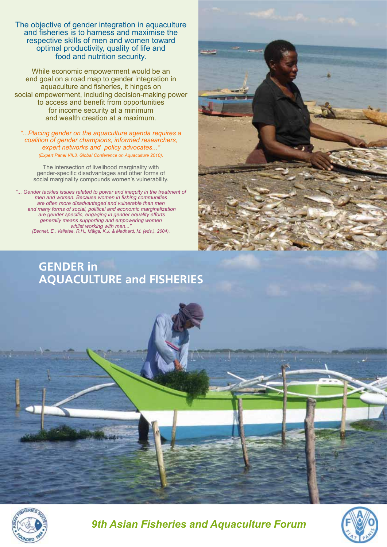The objective of gender integration in aquaculture and fisheries is to harness and maximise the respective skills of men and women toward optimal productivity, quality of life and food and nutrition security.

While economic empowerment would be an end goal on a road map to gender integration in aquaculture and fisheries, it hinges on social empowerment, including decision-making power to access and benefit from opportunities for income security at a minimum and wealth creation at a maximum.

*"...Placing gender on the aquaculture agenda requires a coalition of gender champions, informed researchers, expert networks and policy advocates... (Expert Panel VII.3, Global Conference on Aquaculture 2010).*

The intersection of livelihood marginality with gender-specific disadvantages and other forms of social marginality compounds women's vulnerability.

"... Gender tackles issues related to power and inequity in the treatment of *men and women. Because women in fishing communities are often more disadvantaged and vulnerable than men and many forms of social, political and economic marginalization are gender specific, engaging in gender equality efforts generally means supporting and empowering women*  whilst working with men... *(Bennet, E., Valletee, R.H., Mäiga, K.J. & Medhard, M. (eds.). 2004).*

# **GENDER in AQUACULTURE and FISHERIES**





*9th Asian Fisheries and Aquaculture Forum*

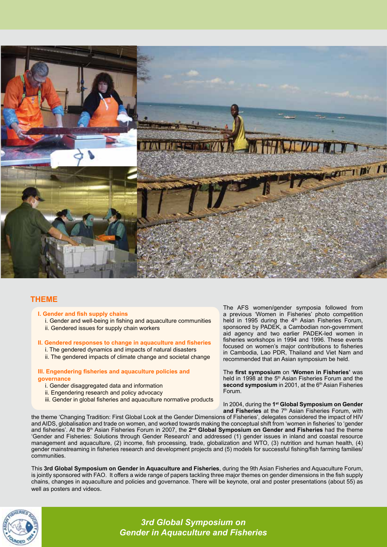

# **THEME**

- **I. Gender and fish supply chains**
	- i. Gender and well-being in fishing and aquaculture communities
	- ii. Gendered issues for supply chain workers

### **II. Gendered responses to change in aquaculture and fisheries**

- i. The gendered dynamics and impacts of natural disasters
- ii. The gendered impacts of climate change and societal change

#### **III. Engendering fisheries and aquaculture policies and governance**

- i. Gender disaggregated data and information
- ii. Engendering research and policy advocacy
- iii. Gender in global fisheries and aquaculture normative products

The AFS women/gender symposia followed from a previous 'Women in Fisheries' photo competition held in 1995 during the  $4<sup>th</sup>$  Asian Fisheries Forum, sponsored by PADEK, a Cambodian non-government aid agency and two earlier PADEK-led women in fisheries workshops in 1994 and 1996. These events focused on women's major contributions to fisheries in Cambodia, Lao PDR, Thailand and Viet Nam and recommended that an Asian symposium be held.

The **first symposium** on **'Women in Fisheries'** was held in 1998 at the 5<sup>th</sup> Asian Fisheries Forum and the second symposium in 2001, at the 6<sup>th</sup> Asian Fisheries Forum.

In 2004, during the **1st Global Symposium on Gender**  and Fisheries at the 7<sup>th</sup> Asian Fisheries Forum, with

the theme 'Changing Tradition: First Global Look at the Gender Dimensions of Fisheries', delegates considered the impact of HIV and AIDS, globalisation and trade on women, and worked towards making the conceptual shift from 'women in fisheries' to 'gender and fisheries'. At the 8th Asian Fisheries Forum in 2007, the **2nd Global Symposium on Gender and Fisheries** had the theme 'Gender and Fisheries: Solutions through Gender Research' and addressed (1) gender issues in inland and coastal resource management and aquaculture, (2) income, fish processing, trade, globalization and WTO, (3) nutrition and human health, (4) gender mainstreaming in fisheries research and development projects and (5) models for successful fishing/fish farming families/ communities.

This **3rd Global Symposium on Gender in Aquaculture and Fisheries**, during the 9th Asian Fisheries and Aquaculture Forum, is jointly sponsored with FAO. It offers a wide range of papers tackling three major themes on gender dimensions in the fish supply chains, changes in aquaculture and policies and governance. There will be keynote, oral and poster presentations (about 55) as well as posters and videos.



*3rd Global Symposium on Gender in Aquaculture and Fisheries*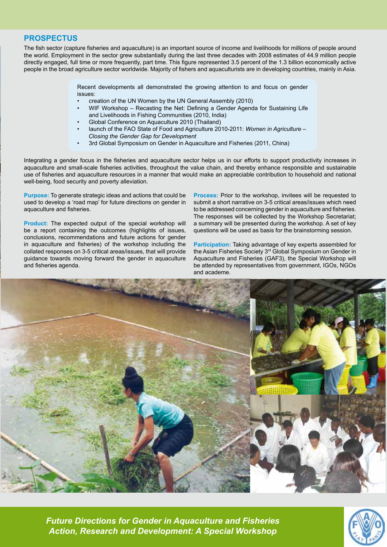## **PROSPECTUS**

The fish sector (capture fisheries and aquaculture) is an important source of income and livelihoods for millions of people around the world. Employment in the sector grew substantially during the last three decades with 2008 estimates of 44.9 million people directly engaged, full time or more frequently, part time. This figure represented 3.5 percent of the 1.3 billion economically active people in the broad agriculture sector worldwide. Majority of fishers and aquaculturists are in developing countries, mainly in Asia.

> Recent developments all demonstrated the growing attention to and focus on gender issues:

- creation of the UN Women by the UN General Assembly (2010)
- WIF Workshop Recasting the Net: Defining a Gender Agenda for Sustaining Life and Livelihoods in Fishing Communities (2010, India)
- Global Conference on Aquaculture 2010 (Thailand)
- launch of the FAO State of Food and Agriculture 2010-2011: *Women in Agriculture Closing the Gender Gap for Development*
- 3rd Global Symposium on Gender in Aquaculture and Fisheries (2011, China)

Integrating a gender focus in the fisheries and aquaculture sector helps us in our efforts to support productivity increases in aquaculture and small-scale fisheries activities, throughout the value chain, and thereby enhance responsible and sustainable use of fisheries and aquaculture resources in a manner that would make an appreciable contribution to household and national well-being, food security and poverty alleviation.

**Purpose:** To generate strategic ideas and actions that could be used to develop a 'road map' for future directions on gender in aquaculture and fisheries.

**Product:** The expected output of the special workshop will be a report containing the outcomes (highlights of issues, conclusions, recommendations and future actions for gender in aquaculture and fisheries) of the workshop including the collated responses on 3-5 critical areas/issues, that will provide guidance towards moving forward the gender in aquaculture and fisheries agenda.

**Process:** Prior to the workshop, invitees will be requested to submit a short narrative on 3-5 critical areas/issues which need to be addressed concerning gender in aquaculture and fisheries. The responses will be collected by the Workshop Secretariat; a summary will be presented during the workshop. A set of key questions will be used as basis for the brainstorming session.

**Participation:** Taking advantage of key experts assembled for the Asian Fisheries Society 3<sup>rd</sup> Global Symposium on Gender in Aquaculture and Fisheries (GAF3), the Special Workshop will be attended by representatives from government, IGOs, NGOs and academe.



*Future Directions for Gender in Aquaculture and Fisheries Action, Research and Development: A Special Workshop*